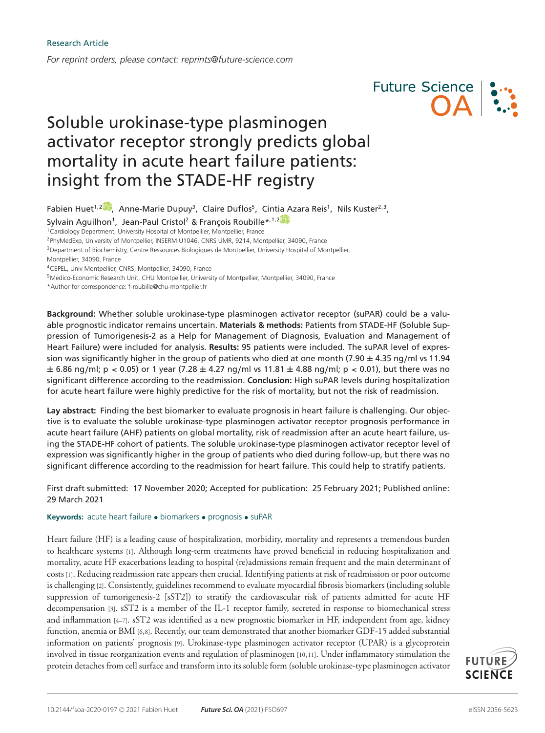*For reprint orders, please contact: reprints@future-science.com*



# Soluble urokinase-type plasminogen activator receptor strongly predicts global mortality in acute heart failure patients: insight from the STADE-HF registry

Fabien Huet<sup>1[,](https://orcid.org/0000-0002-7670-0455)2</sup>, Anne-Marie Dupuy<sup>3</sup>, Claire Duflos<sup>5</sup>, Cintia Azara Reis<sup>1</sup>, Nils Kuster<sup>2,3</sup>,

Sylvain Aguilhon<sup>1</sup>, Jean-Paul Cristol<sup>[2](https://orcid.org/0000-0002-5288-9687)</sup> & François Roubille\*<sup>,1,2</sup>

<sup>1</sup> Cardiology Department, University Hospital of Montpellier, Montpellier, France

<sup>2</sup>PhyMedExp, University of Montpellier, INSERM U1046, CNRS UMR, 9214, Montpellier, 34090, France

<sup>3</sup>Department of Biochemistry, Centre Ressources Biologiques de Montpellier, University Hospital of Montpellier,

<sup>5</sup>Medico-Economic Research Unit, CHU Montpellier, University of Montpellier, Montpellier, 34090, France

\*Author for correspondence: f-roubille@chu-montpellier.fr

**Background:** Whether soluble urokinase-type plasminogen activator receptor (suPAR) could be a valuable prognostic indicator remains uncertain. **Materials & methods:** Patients from STADE-HF (Soluble Suppression of Tumorigenesis-2 as a Help for Management of Diagnosis, Evaluation and Management of Heart Failure) were included for analysis. **Results:** 95 patients were included. The suPAR level of expression was significantly higher in the group of patients who died at one month (7.90  $\pm$  4.35 ng/ml vs 11.94  $\pm$  6.86 ng/ml; p < 0.05) or 1 year (7.28  $\pm$  4.27 ng/ml vs 11.81  $\pm$  4.88 ng/ml; p < 0.01), but there was no significant difference according to the readmission. **Conclusion:** High suPAR levels during hospitalization for acute heart failure were highly predictive for the risk of mortality, but not the risk of readmission.

**Lay abstract:** Finding the best biomarker to evaluate prognosis in heart failure is challenging. Our objective is to evaluate the soluble urokinase-type plasminogen activator receptor prognosis performance in acute heart failure (AHF) patients on global mortality, risk of readmission after an acute heart failure, using the STADE-HF cohort of patients. The soluble urokinase-type plasminogen activator receptor level of expression was significantly higher in the group of patients who died during follow-up, but there was no significant difference according to the readmission for heart failure. This could help to stratify patients.

First draft submitted: 17 November 2020; Accepted for publication: 25 February 2021; Published online: 29 March 2021

**Keywords:** acute heart failure • biomarkers • prognosis • suPAR

Heart failure (HF) is a leading cause of hospitalization, morbidity, mortality and represents a tremendous burden to healthcare systems [1]. Although long-term treatments have proved beneficial in reducing hospitalization and mortality, acute HF exacerbations leading to hospital (re)admissions remain frequent and the main determinant of costs [1]. Reducing readmission rate appears then crucial. Identifying patients at risk of readmission or poor outcome is challenging [2]. Consistently, guidelines recommend to evaluate myocardial fibrosis biomarkers (including soluble suppression of tumorigenesis-2 [sST2]) to stratify the cardiovascular risk of patients admitted for acute HF decompensation [3]. sST2 is a member of the IL-1 receptor family, secreted in response to biomechanical stress and inflammation [4–7]. sST2 was identified as a new prognostic biomarker in HF, independent from age, kidney function, anemia or BMI [6,8]. Recently, our team demonstrated that another biomarker GDF-15 added substantial information on patients' prognosis [9]. Urokinase-type plasminogen activator receptor (UPAR) is a glycoprotein involved in tissue reorganization events and regulation of plasminogen [10,11]. Under inflammatory stimulation the protein detaches from cell surface and transform into its soluble form (soluble urokinase-type plasminogen activator



Montpellier, 34090, France

<sup>4</sup>CEPEL, Univ Montpellier, CNRS, Montpellier, 34090, France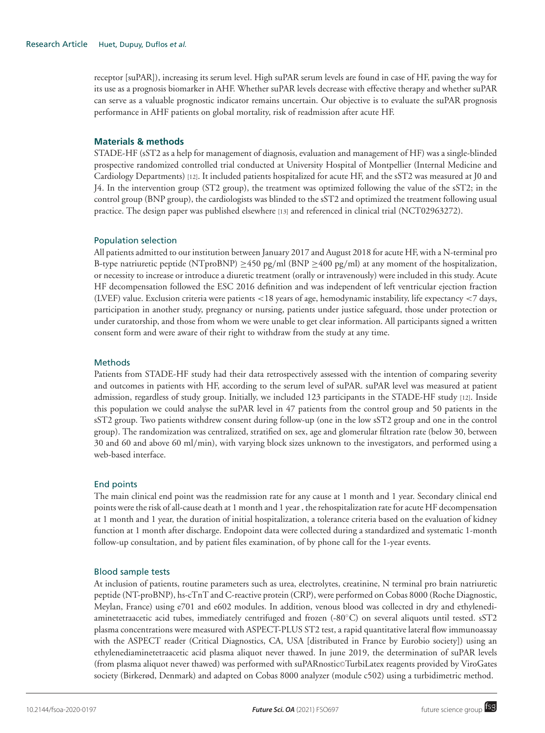receptor [suPAR]), increasing its serum level. High suPAR serum levels are found in case of HF, paving the way for its use as a prognosis biomarker in AHF. Whether suPAR levels decrease with effective therapy and whether suPAR can serve as a valuable prognostic indicator remains uncertain. Our objective is to evaluate the suPAR prognosis performance in AHF patients on global mortality, risk of readmission after acute HF.

## **Materials & methods**

STADE-HF (sST2 as a help for management of diagnosis, evaluation and management of HF) was a single-blinded prospective randomized controlled trial conducted at University Hospital of Montpellier (Internal Medicine and Cardiology Departments) [12]. It included patients hospitalized for acute HF, and the sST2 was measured at J0 and J4. In the intervention group (ST2 group), the treatment was optimized following the value of the sST2; in the control group (BNP group), the cardiologists was blinded to the sST2 and optimized the treatment following usual practice. The design paper was published elsewhere [13] and referenced in clinical trial (NCT02963272).

## Population selection

All patients admitted to our institution between January 2017 and August 2018 for acute HF, with a N-terminal pro B-type natriuretic peptide (NTproBNP)  $\geq$ 450 pg/ml (BNP  $\geq$ 400 pg/ml) at any moment of the hospitalization, or necessity to increase or introduce a diuretic treatment (orally or intravenously) were included in this study. Acute HF decompensation followed the ESC 2016 definition and was independent of left ventricular ejection fraction (LVEF) value. Exclusion criteria were patients <18 years of age, hemodynamic instability, life expectancy <7 days, participation in another study, pregnancy or nursing, patients under justice safeguard, those under protection or under curatorship, and those from whom we were unable to get clear information. All participants signed a written consent form and were aware of their right to withdraw from the study at any time.

## **Methods**

Patients from STADE-HF study had their data retrospectively assessed with the intention of comparing severity and outcomes in patients with HF, according to the serum level of suPAR. suPAR level was measured at patient admission, regardless of study group. Initially, we included 123 participants in the STADE-HF study [12]. Inside this population we could analyse the suPAR level in 47 patients from the control group and 50 patients in the sST2 group. Two patients withdrew consent during follow-up (one in the low sST2 group and one in the control group). The randomization was centralized, stratified on sex, age and glomerular filtration rate (below 30, between 30 and 60 and above 60 ml/min), with varying block sizes unknown to the investigators, and performed using a web-based interface.

# End points

The main clinical end point was the readmission rate for any cause at 1 month and 1 year. Secondary clinical end points were the risk of all-cause death at 1 month and 1 year , the rehospitalization rate for acute HF decompensation at 1 month and 1 year, the duration of initial hospitalization, a tolerance criteria based on the evaluation of kidney function at 1 month after discharge. Endopoint data were collected during a standardized and systematic 1-month follow-up consultation, and by patient files examination, of by phone call for the 1-year events.

# Blood sample tests

At inclusion of patients, routine parameters such as urea, electrolytes, creatinine, N terminal pro brain natriuretic peptide (NT-proBNP), hs-cTnT and C-reactive protein (CRP), were performed on Cobas 8000 (Roche Diagnostic, Meylan, France) using e701 and e602 modules. In addition, venous blood was collected in dry and ethylenediaminetetraacetic acid tubes, immediately centrifuged and frozen (-80◦C) on several aliquots until tested. sST2 plasma concentrations were measured with ASPECT-PLUS ST2 test, a rapid quantitative lateral flow immunoassay with the ASPECT reader (Critical Diagnostics, CA, USA [distributed in France by Eurobio society]) using an ethylenediaminetetraacetic acid plasma aliquot never thawed. In june 2019, the determination of suPAR levels (from plasma aliquot never thawed) was performed with suPARnostic©TurbiLatex reagents provided by ViroGates society (Birkerød, Denmark) and adapted on Cobas 8000 analyzer (module c502) using a turbidimetric method.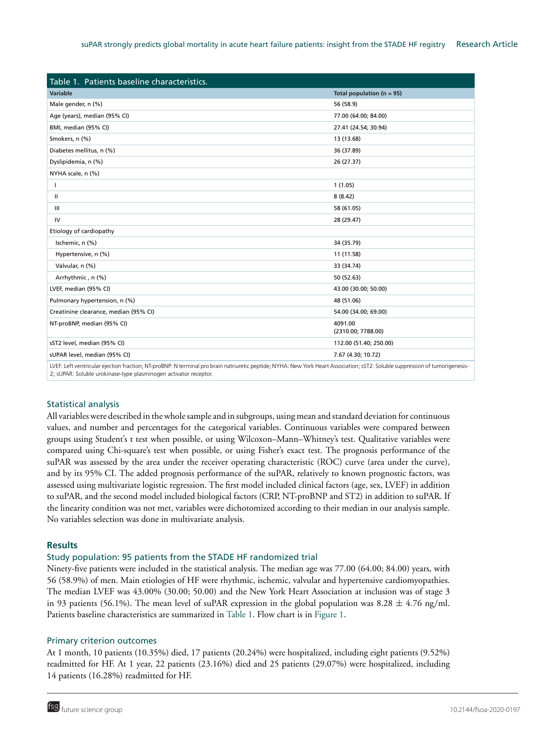| Table 1. Patients baseline characteristics.                                                                                                                                 |                               |
|-----------------------------------------------------------------------------------------------------------------------------------------------------------------------------|-------------------------------|
| <b>Variable</b>                                                                                                                                                             | Total population ( $n = 95$ ) |
| Male gender, n (%)                                                                                                                                                          | 56 (58.9)                     |
| Age (years), median (95% CI)                                                                                                                                                | 77.00 (64.00; 84.00)          |
| BMI, median (95% CI)                                                                                                                                                        | 27.41 (24.54; 30.94)          |
| Smokers, n (%)                                                                                                                                                              | 13 (13.68)                    |
| Diabetes mellitus, n (%)                                                                                                                                                    | 36 (37.89)                    |
| Dyslipidemia, n (%)                                                                                                                                                         | 26 (27.37)                    |
| NYHA scale, n (%)                                                                                                                                                           |                               |
| I                                                                                                                                                                           | 1(1.05)                       |
| $\mathbf{H}$                                                                                                                                                                | 8(8.42)                       |
| III                                                                                                                                                                         | 58 (61.05)                    |
| IV                                                                                                                                                                          | 28 (29.47)                    |
| Etiology of cardiopathy                                                                                                                                                     |                               |
| Ischemic, n (%)                                                                                                                                                             | 34 (35.79)                    |
| Hypertensive, n (%)                                                                                                                                                         | 11 (11.58)                    |
| Valvular, n (%)                                                                                                                                                             | 33 (34.74)                    |
| Arrhythmic, n (%)                                                                                                                                                           | 50 (52.63)                    |
| LVEF, median (95% CI)                                                                                                                                                       | 43.00 (30.00; 50.00)          |
| Pulmonary hypertension, n (%)                                                                                                                                               | 48 (51.06)                    |
| Creatinine clearance, median (95% CI)                                                                                                                                       | 54.00 (34.00; 69.00)          |
| NT-proBNP, median (95% CI)                                                                                                                                                  | 4091.00<br>(2310.00; 7788.00) |
| sST2 level, median (95% CI)                                                                                                                                                 | 112.00 (51.40; 250.00)        |
| sUPAR level, median (95% CI)                                                                                                                                                | 7.67 (4.30; 10.72)            |
| UEF: Loft ventricular ojection fraction: NT proPNP: N terminal are brain patriuratic poptide: NIVHA: Now York Heart Accociation: cCT2: Soluble cuparaccion of tumorigonecic |                               |

n; NT-proBNP: N terminal pro brain natriuretic peptide; NYH. 2; sUPAR: Soluble urokinase-type plasminogen activator receptor.

# Statistical analysis

All variables were described in the whole sample and in subgroups, using mean and standard deviation for continuous values, and number and percentages for the categorical variables. Continuous variables were compared between groups using Student's t test when possible, or using Wilcoxon–Mann–Whitney's test. Qualitative variables were compared using Chi-square's test when possible, or using Fisher's exact test. The prognosis performance of the suPAR was assessed by the area under the receiver operating characteristic (ROC) curve (area under the curve), and by its 95% CI. The added prognosis performance of the suPAR, relatively to known prognostic factors, was assessed using multivariate logistic regression. The first model included clinical factors (age, sex, LVEF) in addition to suPAR, and the second model included biological factors (CRP, NT-proBNP and ST2) in addition to suPAR. If the linearity condition was not met, variables were dichotomized according to their median in our analysis sample. No variables selection was done in multivariate analysis.

# **Results**

# Study population: 95 patients from the STADE HF randomized trial

Ninety-five patients were included in the statistical analysis. The median age was 77.00 (64.00; 84.00) years, with 56 (58.9%) of men. Main etiologies of HF were rhythmic, ischemic, valvular and hypertensive cardiomyopathies. The median LVEF was 43.00% (30.00; 50.00) and the New York Heart Association at inclusion was of stage 3 in 93 patients (56.1%). The mean level of suPAR expression in the global population was  $8.28 \pm 4.76$  ng/ml. Patients baseline characteristics are summarized in Table 1. Flow chart is in Figure 1.

## Primary criterion outcomes

At 1 month, 10 patients (10.35%) died, 17 patients (20.24%) were hospitalized, including eight patients (9.52%) readmitted for HF. At 1 year, 22 patients (23.16%) died and 25 patients (29.07%) were hospitalized, including 14 patients (16.28%) readmitted for HF.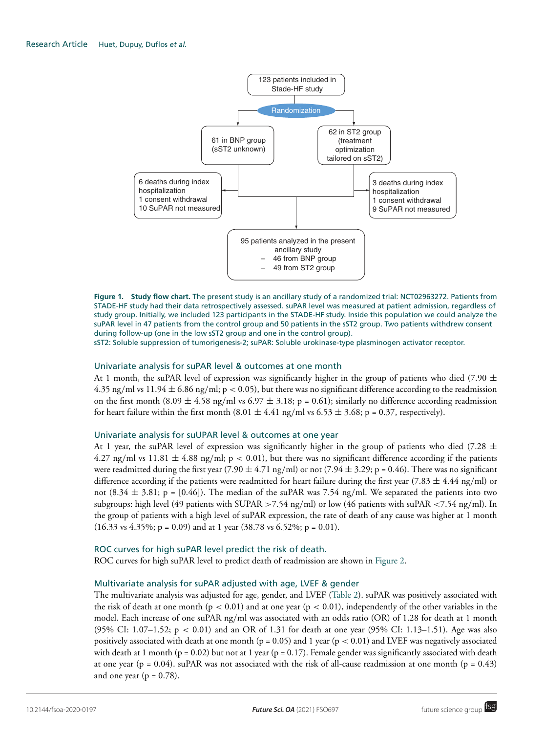

**Figure 1. Study flow chart.** The present study is an ancillary study of a randomized trial: NCT02963272. Patients from STADE-HF study had their data retrospectively assessed. suPAR level was measured at patient admission, regardless of study group. Initially, we included 123 participants in the STADE-HF study. Inside this population we could analyze the suPAR level in 47 patients from the control group and 50 patients in the sST2 group. Two patients withdrew consent during follow-up (one in the low sST2 group and one in the control group).

sST2: Soluble suppression of tumorigenesis-2; suPAR: Soluble urokinase-type plasminogen activator receptor.

## Univariate analysis for suPAR level & outcomes at one month

At 1 month, the suPAR level of expression was significantly higher in the group of patients who died (7.90  $\pm$ 4.35 ng/ml vs  $11.94 \pm 6.86$  ng/ml; p < 0.05), but there was no significant difference according to the readmission on the first month (8.09  $\pm$  4.58 ng/ml vs 6.97  $\pm$  3.18; p = 0.61); similarly no difference according readmission for heart failure within the first month  $(8.01 \pm 4.41 \text{ ng/ml vs } 6.53 \pm 3.68; \text{ p} = 0.37, \text{ respectively}).$ 

### Univariate analysis for suUPAR level & outcomes at one year

At 1 year, the suPAR level of expression was significantly higher in the group of patients who died (7.28  $\pm$ 4.27 ng/ml vs  $11.81 \pm 4.88$  ng/ml; p < 0.01), but there was no significant difference according if the patients were readmitted during the first year (7.90  $\pm$  4.71 ng/ml) or not (7.94  $\pm$  3.29; p = 0.46). There was no significant difference according if the patients were readmitted for heart failure during the first year (7.83  $\pm$  4.44 ng/ml) or not  $(8.34 \pm 3.81; p = [0.46])$ . The median of the suPAR was 7.54 ng/ml. We separated the patients into two subgroups: high level (49 patients with SUPAR >7.54 ng/ml) or low (46 patients with suPAR <7.54 ng/ml). In the group of patients with a high level of suPAR expression, the rate of death of any cause was higher at 1 month  $(16.33 \text{ vs } 4.35\%; p = 0.09)$  and at 1 year  $(38.78 \text{ vs } 6.52\%; p = 0.01)$ .

## ROC curves for high suPAR level predict the risk of death.

ROC curves for high suPAR level to predict death of readmission are shown in Figure 2.

## Multivariate analysis for suPAR adjusted with age, LVEF & gender

The multivariate analysis was adjusted for age, gender, and LVEF (Table 2). suPAR was positively associated with the risk of death at one month ( $p < 0.01$ ) and at one year ( $p < 0.01$ ), independently of the other variables in the model. Each increase of one suPAR ng/ml was associated with an odds ratio (OR) of 1.28 for death at 1 month (95% CI: 1.07–1.52; p < 0.01) and an OR of 1.31 for death at one year (95% CI: 1.13–1.51). Age was also positively associated with death at one month ( $p = 0.05$ ) and 1 year ( $p < 0.01$ ) and LVEF was negatively associated with death at 1 month ( $p = 0.02$ ) but not at 1 year ( $p = 0.17$ ). Female gender was significantly associated with death at one year (p = 0.04). suPAR was not associated with the risk of all-cause readmission at one month (p = 0.43) and one year ( $p = 0.78$ ).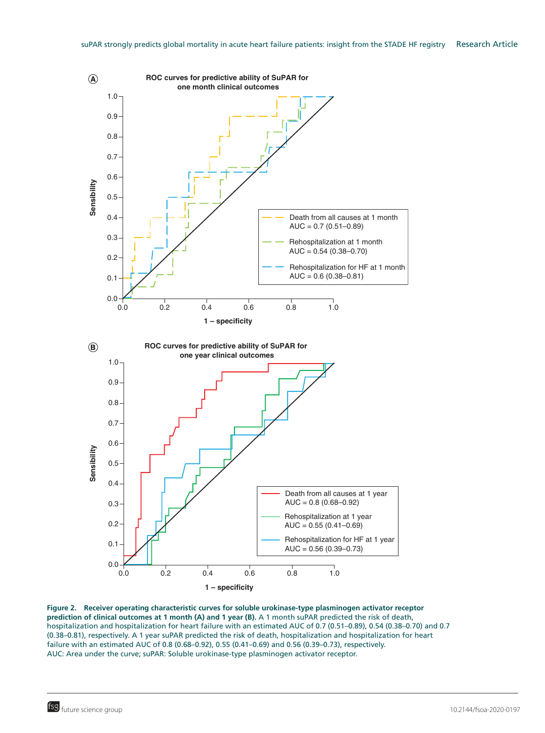

**Figure 2. Receiver operating characteristic curves for soluble urokinase-type plasminogen activator receptor prediction of clinical outcomes at 1 month (A) and 1 year (B).** A 1 month suPAR predicted the risk of death, hospitalization and hospitalization for heart failure with an estimated AUC of 0.7 (0.51–0.89), 0.54 (0.38–0.70) and 0.7 (0.38–0.81), respectively. A 1 year suPAR predicted the risk of death, hospitalization and hospitalization for heart failure with an estimated AUC of 0.8 (0.68–0.92), 0.55 (0.41–0.69) and 0.56 (0.39–0.73), respectively. AUC: Area under the curve; suPAR: Soluble urokinase-type plasminogen activator receptor.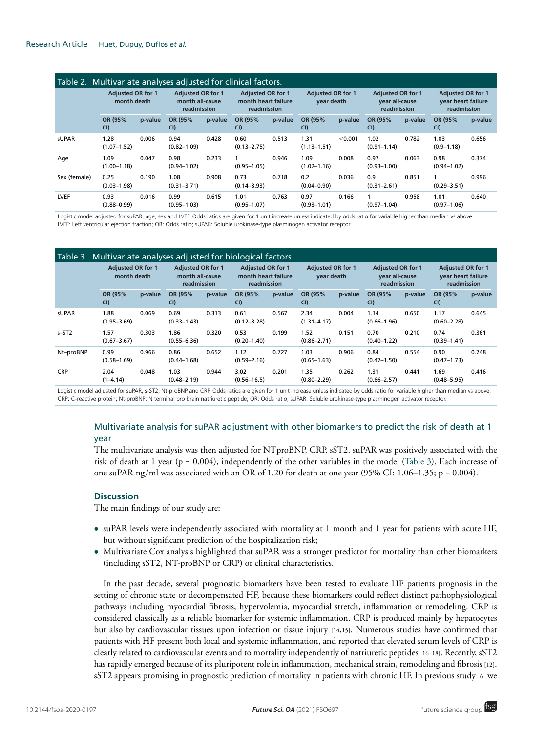| Table 2. Multivariate analyses adjusted for clinical factors. |                                         |         |                                                            |         |                                                                |         |                                        |         |                                                           |         |                                                               |         |
|---------------------------------------------------------------|-----------------------------------------|---------|------------------------------------------------------------|---------|----------------------------------------------------------------|---------|----------------------------------------|---------|-----------------------------------------------------------|---------|---------------------------------------------------------------|---------|
|                                                               | <b>Adiusted OR for 1</b><br>month death |         | <b>Adiusted OR for 1</b><br>month all-cause<br>readmission |         | <b>Adiusted OR for 1</b><br>month heart failure<br>readmission |         | <b>Adiusted OR for 1</b><br>vear death |         | <b>Adiusted OR for 1</b><br>year all-cause<br>readmission |         | <b>Adjusted OR for 1</b><br>year heart failure<br>readmission |         |
|                                                               | OR (95%<br>CI                           | p-value | OR (95%<br>CI                                              | p-value | OR (95%<br>CI                                                  | p-value | OR (95%<br>CI                          | p-value | OR (95%<br>CI                                             | p-value | OR (95%<br>CI                                                 | p-value |
| <b>sUPAR</b>                                                  | 1.28<br>$(1.07 - 1.52)$                 | 0.006   | 0.94<br>$(0.82 - 1.09)$                                    | 0.428   | 0.60<br>$(0.13 - 2.75)$                                        | 0.513   | 1.31<br>$(1.13 - 1.51)$                | < 0.001 | 1.02<br>$(0.91 - 1.14)$                                   | 0.782   | 1.03<br>$(0.9 - 1.18)$                                        | 0.656   |
| Age                                                           | 1.09<br>$(1.00 - 1.18)$                 | 0.047   | 0.98<br>$(0.94 - 1.02)$                                    | 0.233   | $(0.95 - 1.05)$                                                | 0.946   | 1.09<br>$(1.02 - 1.16)$                | 0.008   | 0.97<br>$(0.93 - 1.00)$                                   | 0.063   | 0.98<br>$(0.94 - 1.02)$                                       | 0.374   |
| Sex (female)                                                  | 0.25<br>$(0.03 - 1.98)$                 | 0.190   | 1.08<br>$(0.31 - 3.71)$                                    | 0.908   | 0.73<br>$(0.14 - 3.93)$                                        | 0.718   | 0.2<br>$(0.04 - 0.90)$                 | 0.036   | 0.9<br>$(0.31 - 2.61)$                                    | 0.851   | $(0.29 - 3.51)$                                               | 0.996   |
| <b>LVEF</b>                                                   | 0.93<br>$(0.88 - 0.99)$                 | 0.016   | 0.99<br>$(0.95 - 1.03)$                                    | 0.615   | 1.01<br>$(0.95 - 1.07)$                                        | 0.763   | 0.97<br>$(0.93 - 1.01)$                | 0.166   | $(0.97 - 1.04)$                                           | 0.958   | 1.01<br>$(0.97 - 1.06)$                                       | 0.640   |

Logistic model adjusted for suPAR, age, sex and LVEF. Odds ratios are given for 1 unit increase unless indicated by odds ratio for variable higher than median vs above. LVEF: Left ventricular ejection fraction; OR: Odds ratio; sUPAR: Soluble urokinase-type plasminogen activator receptor.

|              | Table 3. Multivariate analyses adjusted for biological factors. |         |                                                            |         |                                                                |         |                                        |         |                                                           |         |                                                               |         |
|--------------|-----------------------------------------------------------------|---------|------------------------------------------------------------|---------|----------------------------------------------------------------|---------|----------------------------------------|---------|-----------------------------------------------------------|---------|---------------------------------------------------------------|---------|
|              | <b>Adjusted OR for 1</b><br>month death                         |         | <b>Adjusted OR for 1</b><br>month all-cause<br>readmission |         | <b>Adjusted OR for 1</b><br>month heart failure<br>readmission |         | <b>Adjusted OR for 1</b><br>vear death |         | <b>Adjusted OR for 1</b><br>vear all-cause<br>readmission |         | <b>Adjusted OR for 1</b><br>year heart failure<br>readmission |         |
|              | OR (95%<br>CI                                                   | p-value | OR (95%<br>CI)                                             | p-value | OR (95%<br>CI)                                                 | p-value | OR (95%<br>CI                          | p-value | OR (95%<br>CI)                                            | p-value | OR (95%<br>CI                                                 | p-value |
| <b>sUPAR</b> | 1.88<br>$(0.95 - 3.69)$                                         | 0.069   | 0.69<br>$(0.33 - 1.43)$                                    | 0.313   | 0.61<br>$(0.12 - 3.28)$                                        | 0.567   | 2.34<br>$(1.31 - 4.17)$                | 0.004   | 1.14<br>$(0.66 - 1.96)$                                   | 0.650   | 1.17<br>$(0.60 - 2.28)$                                       | 0.645   |
| $s-ST2$      | 1.57<br>$(0.67 - 3.67)$                                         | 0.303   | 1.86<br>$(0.55 - 6.36)$                                    | 0.320   | 0.53<br>$(0.20 - 1.40)$                                        | 0.199   | 1.52<br>$(0.86 - 2.71)$                | 0.151   | 0.70<br>$(0.40 - 1.22)$                                   | 0.210   | 0.74<br>$(0.39 - 1.41)$                                       | 0.361   |
| Nt-proBNP    | 0.99<br>$(0.58 - 1.69)$                                         | 0.966   | 0.86<br>$(0.44 - 1.68)$                                    | 0.652   | 1.12<br>$(0.59 - 2.16)$                                        | 0.727   | 1.03<br>$(0.65 - 1.63)$                | 0.906   | 0.84<br>$(0.47 - 1.50)$                                   | 0.554   | 0.90<br>$(0.47 - 1.73)$                                       | 0.748   |
| <b>CRP</b>   | 2.04<br>$(1-4.14)$                                              | 0.048   | 1.03<br>$(0.48 - 2.19)$                                    | 0.944   | 3.02<br>$(0.56 - 16.5)$                                        | 0.201   | 1.35<br>$(0.80 - 2.29)$                | 0.262   | 1.31<br>$(0.66 - 2.57)$                                   | 0.441   | 1.69<br>$(0.48 - 5.95)$                                       | 0.416   |

Logistic model adjusted for suPAR, s-ST2, Nt-proBNP and CRP. Odds ratios are given for 1 unit increase unless indicated by odds ratio for variable higher than median vs above. CRP: C-reactive protein; Nt-proBNP: N terminal pro brain natriuretic peptide; OR: Odds ratio; sUPAR: Soluble urokinase-type plasminogen activator receptor.

# Multivariate analysis for suPAR adjustment with other biomarkers to predict the risk of death at 1 year

The multivariate analysis was then adjusted for NTproBNP, CRP, sST2. suPAR was positively associated with the risk of death at 1 year (p = 0.004), independently of the other variables in the model (Table 3). Each increase of one suPAR ng/ml was associated with an OR of 1.20 for death at one year (95% CI: 1.06–1.35;  $p = 0.004$ ).

# **Discussion**

The main findings of our study are:

- suPAR levels were independently associated with mortality at 1 month and 1 year for patients with acute HF, but without significant prediction of the hospitalization risk;
- Multivariate Cox analysis highlighted that suPAR was a stronger predictor for mortality than other biomarkers (including sST2, NT-proBNP or CRP) or clinical characteristics.

In the past decade, several prognostic biomarkers have been tested to evaluate HF patients prognosis in the setting of chronic state or decompensated HF, because these biomarkers could reflect distinct pathophysiological pathways including myocardial fibrosis, hypervolemia, myocardial stretch, inflammation or remodeling. CRP is considered classically as a reliable biomarker for systemic inflammation. CRP is produced mainly by hepatocytes but also by cardiovascular tissues upon infection or tissue injury [14,15]. Numerous studies have confirmed that patients with HF present both local and systemic inflammation, and reported that elevated serum levels of CRP is clearly related to cardiovascular events and to mortality independently of natriuretic peptides [16–18]. Recently, sST2 has rapidly emerged because of its pluripotent role in inflammation, mechanical strain, remodeling and fibrosis [12]. sST2 appears promising in prognostic prediction of mortality in patients with chronic HF. In previous study [6] we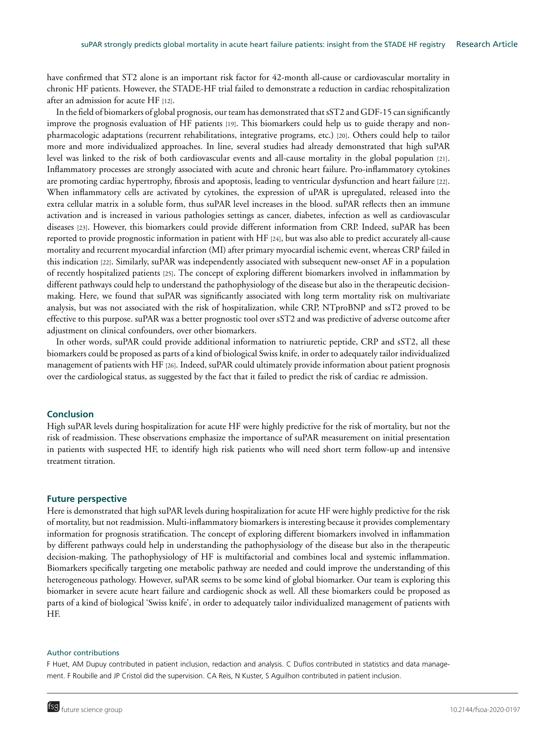have confirmed that ST2 alone is an important risk factor for 42-month all-cause or cardiovascular mortality in chronic HF patients. However, the STADE-HF trial failed to demonstrate a reduction in cardiac rehospitalization after an admission for acute HF [12].

In the field of biomarkers of global prognosis, our team has demonstrated that sST2 and GDF-15 can significantly improve the prognosis evaluation of HF patients [19]. This biomarkers could help us to guide therapy and nonpharmacologic adaptations (recurrent rehabilitations, integrative programs, etc.) [20]. Others could help to tailor more and more individualized approaches. In line, several studies had already demonstrated that high suPAR level was linked to the risk of both cardiovascular events and all-cause mortality in the global population [21]. Inflammatory processes are strongly associated with acute and chronic heart failure. Pro-inflammatory cytokines are promoting cardiac hypertrophy, fibrosis and apoptosis, leading to ventricular dysfunction and heart failure [22]. When inflammatory cells are activated by cytokines, the expression of uPAR is upregulated, released into the extra cellular matrix in a soluble form, thus suPAR level increases in the blood. suPAR reflects then an immune activation and is increased in various pathologies settings as cancer, diabetes, infection as well as cardiovascular diseases [23]. However, this biomarkers could provide different information from CRP. Indeed, suPAR has been reported to provide prognostic information in patient with HF [24], but was also able to predict accurately all-cause mortality and recurrent myocardial infarction (MI) after primary myocardial ischemic event, whereas CRP failed in this indication [22]. Similarly, suPAR was independently associated with subsequent new-onset AF in a population of recently hospitalized patients [25]. The concept of exploring different biomarkers involved in inflammation by different pathways could help to understand the pathophysiology of the disease but also in the therapeutic decisionmaking. Here, we found that suPAR was significantly associated with long term mortality risk on multivariate analysis, but was not associated with the risk of hospitalization, while CRP, NTproBNP and ssT2 proved to be effective to this purpose. suPAR was a better prognostic tool over sST2 and was predictive of adverse outcome after adjustment on clinical confounders, over other biomarkers.

In other words, suPAR could provide additional information to natriuretic peptide, CRP and sST2, all these biomarkers could be proposed as parts of a kind of biological Swiss knife, in order to adequately tailor individualized management of patients with HF [26]. Indeed, suPAR could ultimately provide information about patient prognosis over the cardiological status, as suggested by the fact that it failed to predict the risk of cardiac re admission.

### **Conclusion**

High suPAR levels during hospitalization for acute HF were highly predictive for the risk of mortality, but not the risk of readmission. These observations emphasize the importance of suPAR measurement on initial presentation in patients with suspected HF, to identify high risk patients who will need short term follow-up and intensive treatment titration.

### **Future perspective**

Here is demonstrated that high suPAR levels during hospitalization for acute HF were highly predictive for the risk of mortality, but not readmission. Multi-inflammatory biomarkers is interesting because it provides complementary information for prognosis stratification. The concept of exploring different biomarkers involved in inflammation by different pathways could help in understanding the pathophysiology of the disease but also in the therapeutic decision-making. The pathophysiology of HF is multifactorial and combines local and systemic inflammation. Biomarkers specifically targeting one metabolic pathway are needed and could improve the understanding of this heterogeneous pathology. However, suPAR seems to be some kind of global biomarker. Our team is exploring this biomarker in severe acute heart failure and cardiogenic shock as well. All these biomarkers could be proposed as parts of a kind of biological 'Swiss knife', in order to adequately tailor individualized management of patients with HF.

### Author contributions

F Huet, AM Dupuy contributed in patient inclusion, redaction and analysis. C Duflos contributed in statistics and data management. F Roubille and JP Cristol did the supervision. CA Reis, N Kuster, S Aguilhon contributed in patient inclusion.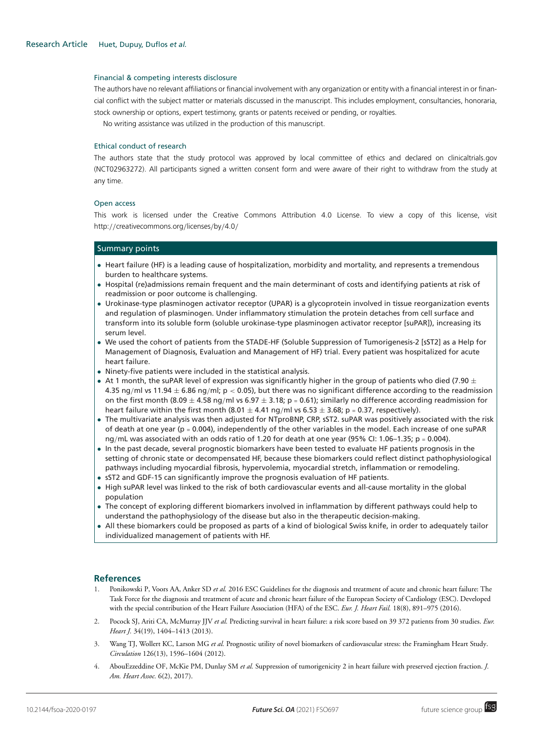#### Financial & competing interests disclosure

The authors have no relevant affiliations or financial involvement with any organization or entity with a financial interest in or financial conflict with the subject matter or materials discussed in the manuscript. This includes employment, consultancies, honoraria, stock ownership or options, expert testimony, grants or patents received or pending, or royalties.

No writing assistance was utilized in the production of this manuscript.

#### Ethical conduct of research

The authors state that the study protocol was approved by local committee of ethics and declared on clinicaltrials.gov (NCT02963272). All participants signed a written consent form and were aware of their right to withdraw from the study at any time.

#### Open access

This work is licensed under the Creative Commons Attribution 4.0 License. To view a copy of this license, visit http://[creativecommons.org](http://creativecommons.org/licenses/by/4.0/)/licenses/by/4.0/

## Summary points

- Heart failure (HF) is a leading cause of hospitalization, morbidity and mortality, and represents a tremendous burden to healthcare systems.
- Hospital (re)admissions remain frequent and the main determinant of costs and identifying patients at risk of readmission or poor outcome is challenging.
- Urokinase-type plasminogen activator receptor (UPAR) is a glycoprotein involved in tissue reorganization events and regulation of plasminogen. Under inflammatory stimulation the protein detaches from cell surface and transform into its soluble form (soluble urokinase-type plasminogen activator receptor [suPAR]), increasing its serum level.
- We used the cohort of patients from the STADE-HF (Soluble Suppression of Tumorigenesis-2 [sST2] as a Help for Management of Diagnosis, Evaluation and Management of HF) trial. Every patient was hospitalized for acute heart failure.
- Ninety-five patients were included in the statistical analysis.
- At 1 month, the suPAR level of expression was significantly higher in the group of patients who died (7.90  $\pm$ 4.35 ng/ml vs 11.94  $\pm$  6.86 ng/ml; p < 0.05), but there was no significant difference according to the readmission on the first month (8.09  $\pm$  4.58 ng/ml vs 6.97  $\pm$  3.18; p = 0.61); similarly no difference according readmission for heart failure within the first month (8.01  $\pm$  4.41 ng/ml vs 6.53  $\pm$  3.68; p = 0.37, respectively).
- The multivariate analysis was then adjusted for NTproBNP, CRP, sST2. suPAR was positively associated with the risk of death at one year ( $p = 0.004$ ), independently of the other variables in the model. Each increase of one suPAR ng/mL was associated with an odds ratio of 1.20 for death at one year (95% CI: 1.06–1.35; p = 0.004).
- In the past decade, several prognostic biomarkers have been tested to evaluate HF patients prognosis in the setting of chronic state or decompensated HF, because these biomarkers could reflect distinct pathophysiological pathways including myocardial fibrosis, hypervolemia, myocardial stretch, inflammation or remodeling.
- sST2 and GDF-15 can significantly improve the prognosis evaluation of HF patients.
- High suPAR level was linked to the risk of both cardiovascular events and all-cause mortality in the global population
- The concept of exploring different biomarkers involved in inflammation by different pathways could help to understand the pathophysiology of the disease but also in the therapeutic decision-making.
- All these biomarkers could be proposed as parts of a kind of biological Swiss knife, in order to adequately tailor individualized management of patients with HF.

### **References**

- 1. Ponikowski P, Voors AA, Anker SD *et al.* 2016 ESC Guidelines for the diagnosis and treatment of acute and chronic heart failure: The Task Force for the diagnosis and treatment of acute and chronic heart failure of the European Society of Cardiology (ESC). Developed with the special contribution of the Heart Failure Association (HFA) of the ESC. *Eur. J. Heart Fail.* 18(8), 891–975 (2016).
- 2. Pocock SJ, Ariti CA, McMurray JJV *et al.* Predicting survival in heart failure: a risk score based on 39 372 patients from 30 studies. *Eur. Heart J.* 34(19), 1404–1413 (2013).
- 3. Wang TJ, Wollert KC, Larson MG *et al.* Prognostic utility of novel biomarkers of cardiovascular stress: the Framingham Heart Study. *Circulation* 126(13), 1596–1604 (2012).
- 4. AbouEzzeddine OF, McKie PM, Dunlay SM *et al.* Suppression of tumorigenicity 2 in heart failure with preserved ejection fraction. *J. Am. Heart Assoc.* 6(2), 2017).